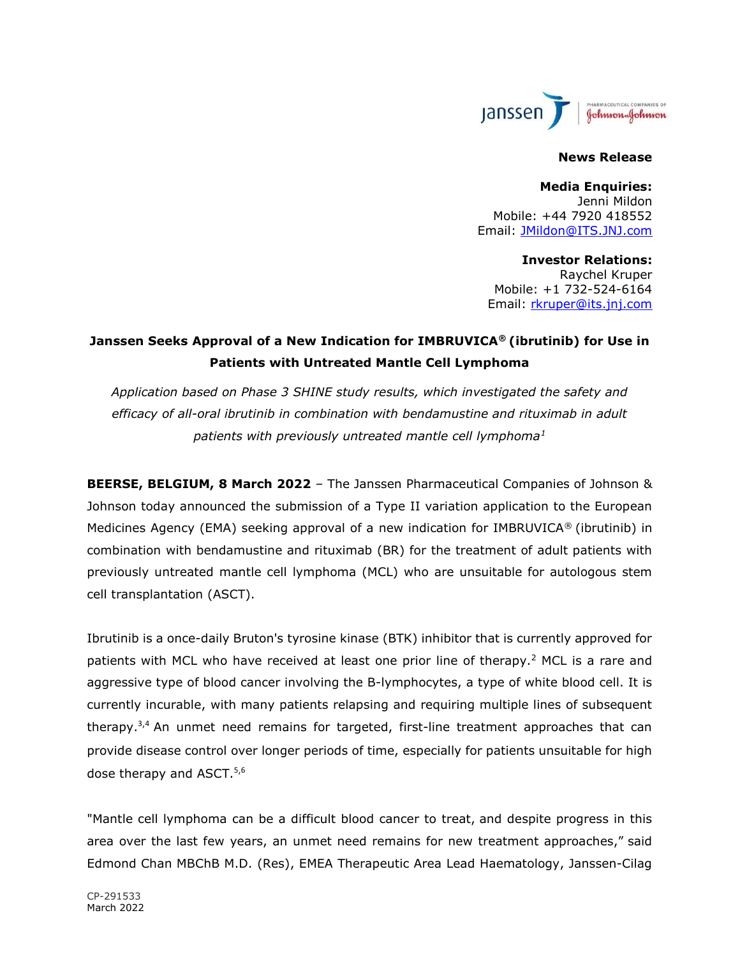

#### News Release

Media Enquiries: Jenni Mildon Mobile: +44 7920 418552 Email: JMildon@ITS.JNJ.com

Investor Relations: Raychel Kruper Mobile: +1 732-524-6164 Email: rkruper@its.jnj.com

# Janssen Seeks Approval of a New Indication for IMBRUVICA® (ibrutinib) for Use in Patients with Untreated Mantle Cell Lymphoma

Application based on Phase 3 SHINE study results, which investigated the safety and efficacy of all-oral ibrutinib in combination with bendamustine and rituximab in adult patients with previously untreated mantle cell lymphoma<sup>1</sup>

BEERSE, BELGIUM, 8 March 2022 – The Janssen Pharmaceutical Companies of Johnson & Johnson today announced the submission of a Type II variation application to the European Medicines Agency (EMA) seeking approval of a new indication for IMBRUVICA<sup>®</sup> (ibrutinib) in combination with bendamustine and rituximab (BR) for the treatment of adult patients with previously untreated mantle cell lymphoma (MCL) who are unsuitable for autologous stem cell transplantation (ASCT).

Ibrutinib is a once-daily Bruton's tyrosine kinase (BTK) inhibitor that is currently approved for patients with MCL who have received at least one prior line of therapy.<sup>2</sup> MCL is a rare and aggressive type of blood cancer involving the B-lymphocytes, a type of white blood cell. It is currently incurable, with many patients relapsing and requiring multiple lines of subsequent therapy.<sup>3</sup>,<sup>4</sup> An unmet need remains for targeted, first-line treatment approaches that can provide disease control over longer periods of time, especially for patients unsuitable for high dose therapy and ASCT.<sup>5,6</sup>

"Mantle cell lymphoma can be a difficult blood cancer to treat, and despite progress in this area over the last few years, an unmet need remains for new treatment approaches," said Edmond Chan MBChB M.D. (Res), EMEA Therapeutic Area Lead Haematology, Janssen-Cilag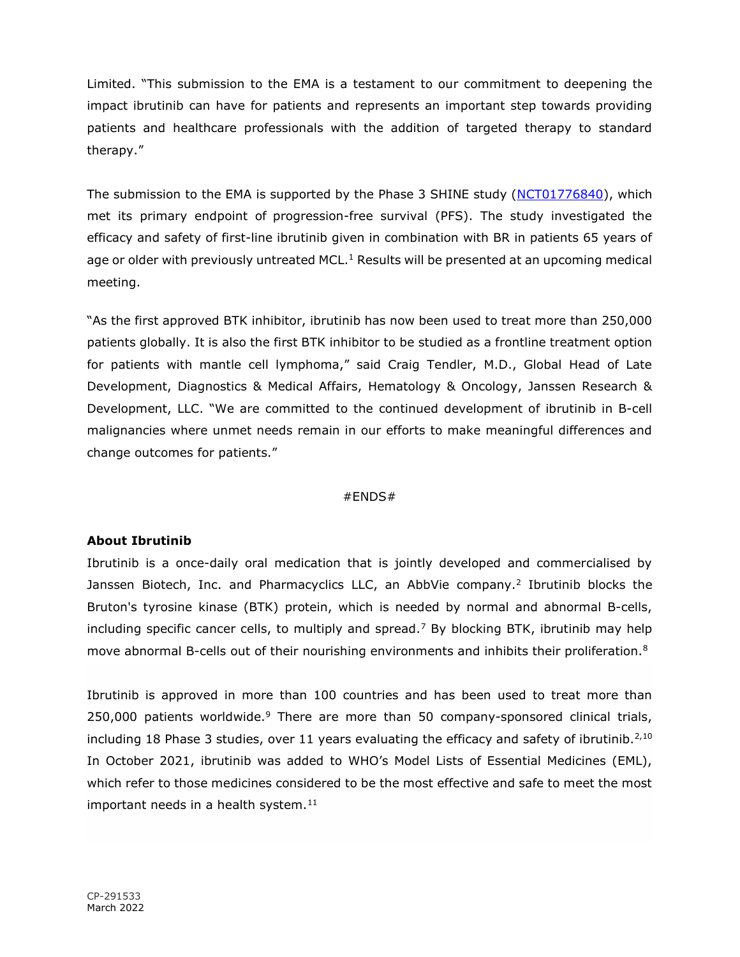Limited. "This submission to the EMA is a testament to our commitment to deepening the impact ibrutinib can have for patients and represents an important step towards providing patients and healthcare professionals with the addition of targeted therapy to standard therapy."

The submission to the EMA is supported by the Phase 3 SHINE study (NCT01776840), which met its primary endpoint of progression-free survival (PFS). The study investigated the efficacy and safety of first-line ibrutinib given in combination with BR in patients 65 years of age or older with previously untreated MCL.<sup>1</sup> Results will be presented at an upcoming medical meeting.

"As the first approved BTK inhibitor, ibrutinib has now been used to treat more than 250,000 patients globally. It is also the first BTK inhibitor to be studied as a frontline treatment option for patients with mantle cell lymphoma," said Craig Tendler, M.D., Global Head of Late Development, Diagnostics & Medical Affairs, Hematology & Oncology, Janssen Research & Development, LLC. "We are committed to the continued development of ibrutinib in B-cell malignancies where unmet needs remain in our efforts to make meaningful differences and change outcomes for patients."

#### #ENDS#

# About Ibrutinib

Ibrutinib is a once-daily oral medication that is jointly developed and commercialised by Janssen Biotech, Inc. and Pharmacyclics LLC, an AbbVie company.<sup>2</sup> Ibrutinib blocks the Bruton's tyrosine kinase (BTK) protein, which is needed by normal and abnormal B-cells, including specific cancer cells, to multiply and spread.<sup>7</sup> By blocking BTK, ibrutinib may help move abnormal B-cells out of their nourishing environments and inhibits their proliferation.<sup>8</sup>

Ibrutinib is approved in more than 100 countries and has been used to treat more than 250,000 patients worldwide.<sup>9</sup> There are more than 50 company-sponsored clinical trials, including 18 Phase 3 studies, over 11 years evaluating the efficacy and safety of ibrutinib.<sup>2,10</sup> In October 2021, ibrutinib was added to WHO's Model Lists of Essential Medicines (EML), which refer to those medicines considered to be the most effective and safe to meet the most important needs in a health system. $11$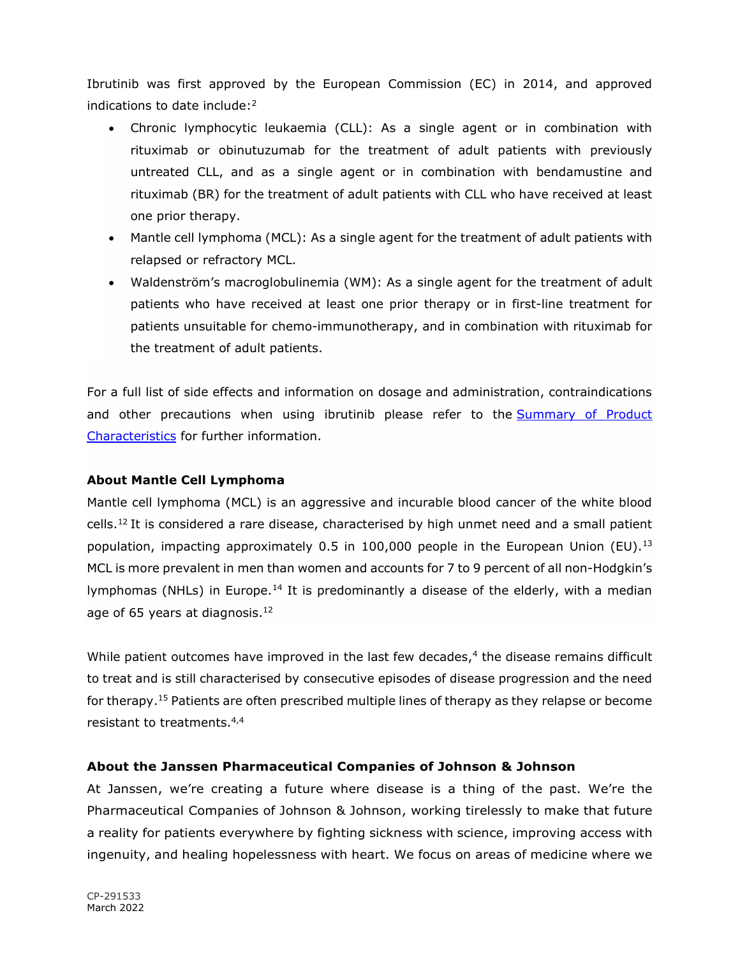Ibrutinib was first approved by the European Commission (EC) in 2014, and approved indications to date include: $2^2$ 

- Chronic lymphocytic leukaemia (CLL): As a single agent or in combination with rituximab or obinutuzumab for the treatment of adult patients with previously untreated CLL, and as a single agent or in combination with bendamustine and rituximab (BR) for the treatment of adult patients with CLL who have received at least one prior therapy.
- Mantle cell lymphoma (MCL): As a single agent for the treatment of adult patients with relapsed or refractory MCL.
- Waldenström's macroglobulinemia (WM): As a single agent for the treatment of adult patients who have received at least one prior therapy or in first-line treatment for patients unsuitable for chemo-immunotherapy, and in combination with rituximab for the treatment of adult patients.

For a full list of side effects and information on dosage and administration, contraindications and other precautions when using ibrutinib please refer to the Summary of Product Characteristics for further information.

### About Mantle Cell Lymphoma

Mantle cell lymphoma (MCL) is an aggressive and incurable blood cancer of the white blood cells.<sup>12</sup> It is considered a rare disease, characterised by high unmet need and a small patient population, impacting approximately 0.5 in 100,000 people in the European Union (EU).<sup>13</sup> MCL is more prevalent in men than women and accounts for 7 to 9 percent of all non-Hodgkin's lymphomas (NHLs) in Europe.<sup>14</sup> It is predominantly a disease of the elderly, with a median age of 65 years at diagnosis.<sup>12</sup>

While patient outcomes have improved in the last few decades, $4$  the disease remains difficult to treat and is still characterised by consecutive episodes of disease progression and the need for therapy.<sup>15</sup> Patients are often prescribed multiple lines of therapy as they relapse or become resistant to treatments.4,4

# About the Janssen Pharmaceutical Companies of Johnson & Johnson

At Janssen, we're creating a future where disease is a thing of the past. We're the Pharmaceutical Companies of Johnson & Johnson, working tirelessly to make that future a reality for patients everywhere by fighting sickness with science, improving access with ingenuity, and healing hopelessness with heart. We focus on areas of medicine where we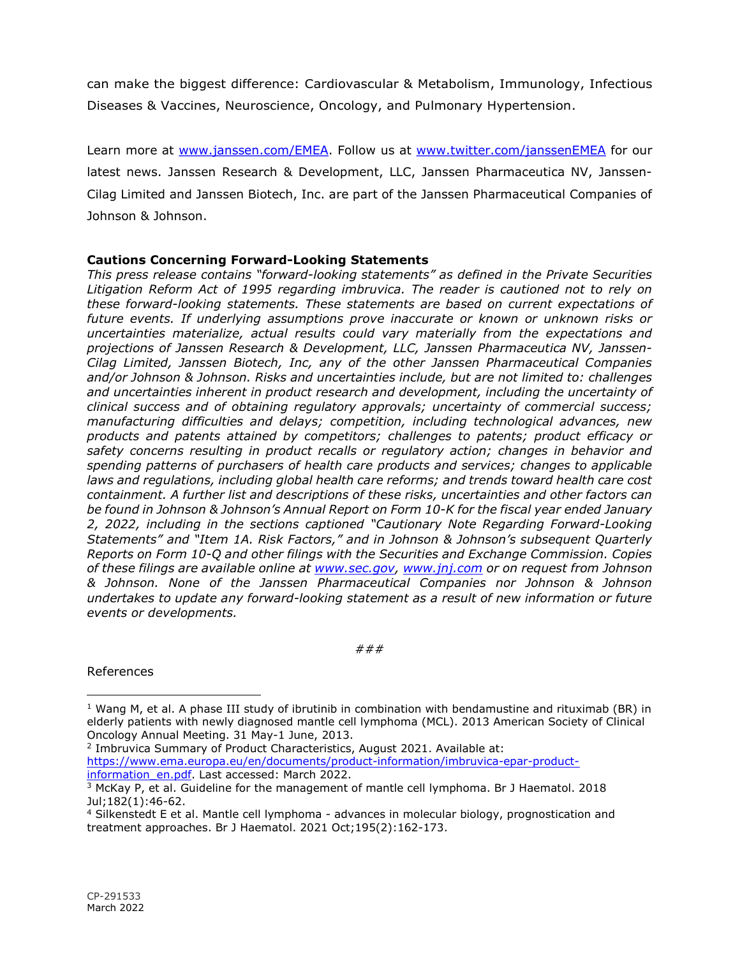can make the biggest difference: Cardiovascular & Metabolism, Immunology, Infectious Diseases & Vaccines, Neuroscience, Oncology, and Pulmonary Hypertension.

Learn more at www.janssen.com/EMEA. Follow us at www.twitter.com/janssenEMEA for our latest news. Janssen Research & Development, LLC, Janssen Pharmaceutica NV, Janssen-Cilag Limited and Janssen Biotech, Inc. are part of the Janssen Pharmaceutical Companies of Johnson & Johnson.

## Cautions Concerning Forward-Looking Statements

This press release contains "forward-looking statements" as defined in the Private Securities Litigation Reform Act of 1995 regarding imbruvica. The reader is cautioned not to rely on these forward-looking statements. These statements are based on current expectations of future events. If underlying assumptions prove inaccurate or known or unknown risks or uncertainties materialize, actual results could vary materially from the expectations and projections of Janssen Research & Development, LLC, Janssen Pharmaceutica NV, Janssen-Cilag Limited, Janssen Biotech, Inc, any of the other Janssen Pharmaceutical Companies and/or Johnson & Johnson. Risks and uncertainties include, but are not limited to: challenges and uncertainties inherent in product research and development, including the uncertainty of clinical success and of obtaining regulatory approvals; uncertainty of commercial success; manufacturing difficulties and delays; competition, including technological advances, new products and patents attained by competitors; challenges to patents; product efficacy or safety concerns resulting in product recalls or regulatory action; changes in behavior and spending patterns of purchasers of health care products and services; changes to applicable laws and regulations, including global health care reforms; and trends toward health care cost containment. A further list and descriptions of these risks, uncertainties and other factors can be found in Johnson & Johnson's Annual Report on Form 10-K for the fiscal year ended January 2, 2022, including in the sections captioned "Cautionary Note Regarding Forward-Looking Statements" and "Item 1A. Risk Factors," and in Johnson & Johnson's subsequent Quarterly Reports on Form 10-Q and other filings with the Securities and Exchange Commission. Copies of these filings are available online at www.sec.gov, www.jnj.com or on request from Johnson & Johnson. None of the Janssen Pharmaceutical Companies nor Johnson & Johnson undertakes to update any forward-looking statement as a result of new information or future events or developments.

###

References

2 Imbruvica Summary of Product Characteristics, August 2021. Available at: https://www.ema.europa.eu/en/documents/product-information/imbruvica-epar-productinformation en.pdf. Last accessed: March 2022.

<sup>&</sup>lt;sup>1</sup> Wang M, et al. A phase III study of ibrutinib in combination with bendamustine and rituximab (BR) in elderly patients with newly diagnosed mantle cell lymphoma (MCL). 2013 American Society of Clinical Oncology Annual Meeting. 31 May-1 June, 2013.

<sup>&</sup>lt;sup>3</sup> McKay P, et al. Guideline for the management of mantle cell lymphoma. Br J Haematol. 2018 Jul;182(1):46-62.

<sup>4</sup> Silkenstedt E et al. Mantle cell lymphoma - advances in molecular biology, prognostication and treatment approaches. Br J Haematol. 2021 Oct;195(2):162-173.